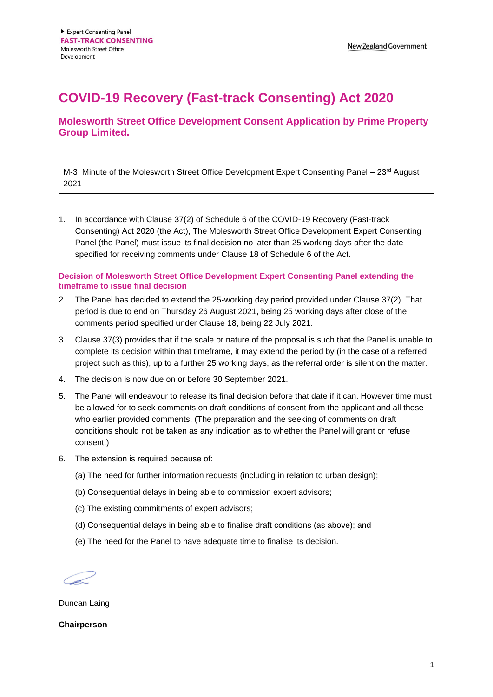## **COVID-19 Recovery (Fast-track Consenting) Act 2020**

## **Molesworth Street Office Development Consent Application by Prime Property Group Limited.**

M-3 Minute of the Molesworth Street Office Development Expert Consenting Panel  $-23<sup>rd</sup>$  August 2021

1. In accordance with Clause 37(2) of Schedule 6 of the COVID-19 Recovery (Fast-track Consenting) Act 2020 (the Act), The Molesworth Street Office Development Expert Consenting Panel (the Panel) must issue its final decision no later than 25 working days after the date specified for receiving comments under Clause 18 of Schedule 6 of the Act.

## **Decision of Molesworth Street Office Development Expert Consenting Panel extending the timeframe to issue final decision**

- 2. The Panel has decided to extend the 25-working day period provided under Clause 37(2). That period is due to end on Thursday 26 August 2021, being 25 working days after close of the comments period specified under Clause 18, being 22 July 2021.
- 3. Clause 37(3) provides that if the scale or nature of the proposal is such that the Panel is unable to complete its decision within that timeframe, it may extend the period by (in the case of a referred project such as this), up to a further 25 working days, as the referral order is silent on the matter.
- 4. The decision is now due on or before 30 September 2021.
- 5. The Panel will endeavour to release its final decision before that date if it can. However time must be allowed for to seek comments on draft conditions of consent from the applicant and all those who earlier provided comments. (The preparation and the seeking of comments on draft conditions should not be taken as any indication as to whether the Panel will grant or refuse consent.)
- 6. The extension is required because of:
	- (a) The need for further information requests (including in relation to urban design);
	- (b) Consequential delays in being able to commission expert advisors;
	- (c) The existing commitments of expert advisors;
	- (d) Consequential delays in being able to finalise draft conditions (as above); and
	- (e) The need for the Panel to have adequate time to finalise its decision.

Duncan Laing

**Chairperson**